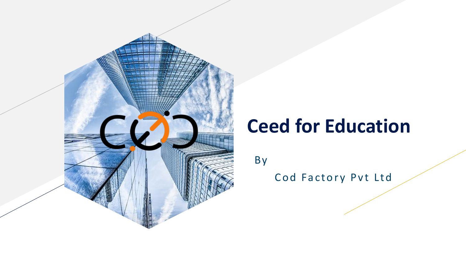

## **Ceed for Education**

B y

Cod Factory Pvt Ltd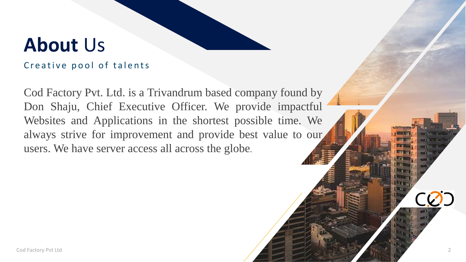## **About** Us

### Creative pool of talents

Cod Factory Pvt. Ltd. is a Trivandrum based company found by Don Shaju, Chief Executive Officer. We provide impactful Websites and Applications in the shortest possible time. We always strive for improvement and provide best value to our users. We have server access all across the globe.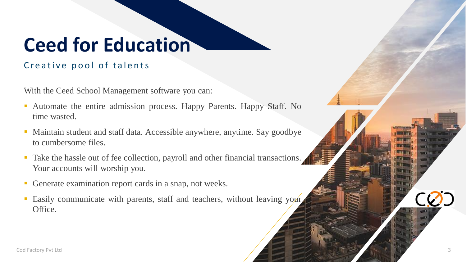# **Ceed for Education**

### Creative pool of talents

With the Ceed School Management software you can:

- Automate the entire admission process. Happy Parents. Happy Staff. No time wasted.
- Maintain student and staff data. Accessible anywhere, anytime. Say goodbye to cumbersome files.
- Take the hassle out of fee collection, payroll and other financial transactions. Your accounts will worship you.
- Generate examination report cards in a snap, not weeks.
- Easily communicate with parents, staff and teachers, without leaving your Office.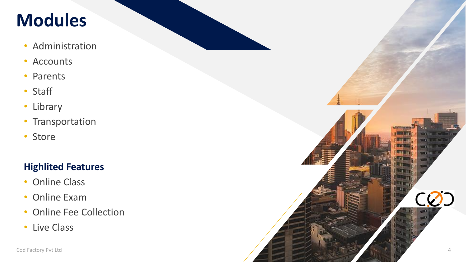### **Modules**

- Administration
- Accounts
- Parents
- Staff
- Library
- Transportation
- Store

### **Highlited Features**

- Online Class
- Online Exam
- Online Fee Collection
- Live Class

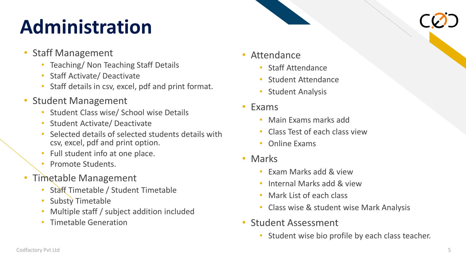# Administration

- Staff Management
	- Teaching/ Non Teaching Staff Details
	- Staff Activate/ Deactivate
	- Staff details in csv, excel, pdf and print format.
- Student Management
	- Student Class wise/ School wise Details
	- Student Activate/ Deactivate
	- Selected details of selected students details with csv, excel, pdf and print option.
	- Full student info at one place.
	- Promote Students.
- Timetable Management
	- Staff Timetable / Student Timetable
	- Substy Timetable
	- Multiple staff / subject addition included
	- Timetable Generation
- Attendance
	- Staff Attendance
	- Student Attendance
	- **Student Analysis**
- Exams
	- Main Exams marks add
	- Class Test of each class view
	- Online Exams
- Marks
	- Exam Marks add & view
	- Internal Marks add & view
	- Mark List of each class
	- Class wise & student wise Mark Analysis
- Student Assessment
	- Student wise bio profile by each class teacher.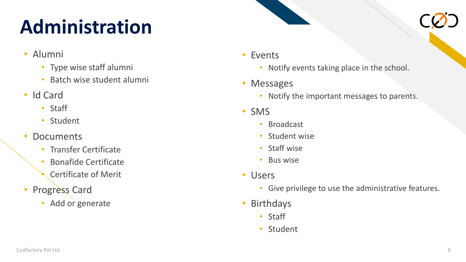# Administration

- Alumni
	- Type wise staff alumni
	- Batch wise student alumni
- Id Card
	- Staff
	- Student
- Documents
	- Transfer Certificate
	- Bonafide Certificate
	- Certificate of Merit
- Progress Card
	- Add or generate
- Events
	- Notify events taking place in the school.
- Messages
	- Notify the important messages to parents.
- SMS
	- **Broadcast**
	- Student wise
	- Staff wise
	- Bus wise
- Users
	- Give privilege to use the administrative features.
- Birthdays
	- Staff
	- Student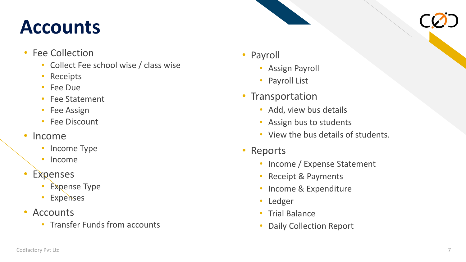# Accounts CO.

- Fee Collection
	- Collect Fee school wise / class wise
	- Receipts
	- Fee Due
	- Fee Statement
	- Fee Assign
	- **Fee Discount**
- Income
	- Income Type
	- Income
- **Expenses** 
	- **Expense Type**
	- Expenses
- Accounts
	- Transfer Funds from accounts
- Payroll
	- **Assign Payroll**
	- Payroll List
- Transportation
	- Add, view bus details
	- Assign bus to students
	- View the bus details of students.
- Reports
	- Income / Expense Statement
	- Receipt & Payments
	- Income & Expenditure
	- Ledger
	- Trial Balance
	- Daily Collection Report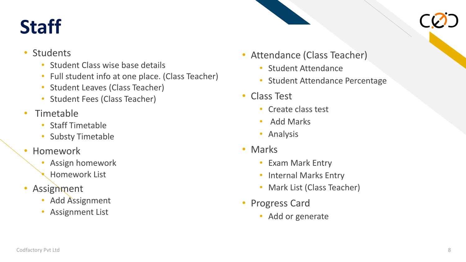# Staff CO.

- **Students** 
	- Student Class wise base details
	- Full student info at one place. (Class Teacher)
	- Student Leaves (Class Teacher)
	- Student Fees (Class Teacher)
- Timetable
	- Staff Timetable
	- Substy Timetable
- Homework
	- Assign homework
	- Homework List
- Assignment
	- Add Assignment
	- Assignment List
- Attendance (Class Teacher)
	- Student Attendance
	- Student Attendance Percentage
- Class Test
	- Create class test
	- Add Marks
	- Analysis
- Marks
	- Exam Mark Entry
	- Internal Marks Entry
	- Mark List (Class Teacher)
- Progress Card
	- Add or generate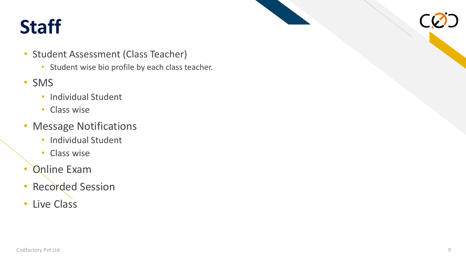# Staff CO.

- Student Assessment (Class Teacher)
	- Student wise bio profile by each class teacher.
- SMS
	- Individual Student
	- Class wise
- Message Notifications
	- Individual Student
	- Class wise
- Online Exam
- Recorded Session
- Live Class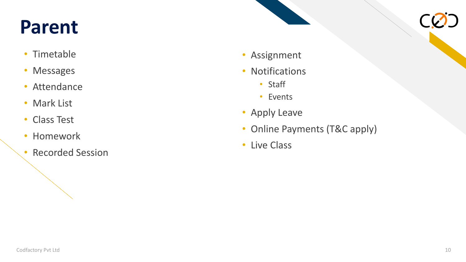# Parent CO.

- Timetable
- Messages
- Attendance
- Mark List
- Class Test
- Homework
- Recorded Session
- Assignment
- Notifications
	- Staff
	- Events
- Apply Leave
- Online Payments (T&C apply)
- Live Class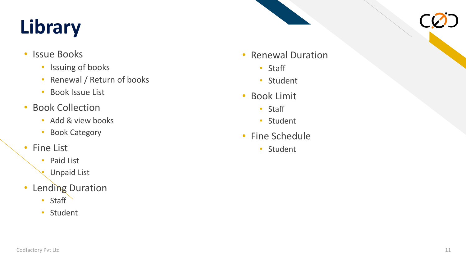# **Library** CO.

- Issue Books
	- Issuing of books
	- Renewal / Return of books • Student • Student • Renewal Duration • Staff • Student • Student • Student • Student • Student • Student • Student • Student • Student • Student • Student • Student • Student • Student • Student • Student • Student • Stu
	- Book Issue List
- Book Collection
	- Add & view books
	- Book Category
- Fine List
	- Paid List
	- Unpaid List
- Lending Duration
	- Staff
	-
- -
	-
- -
	-
- -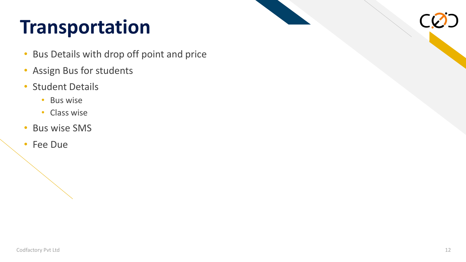# **Transportation**

- Bus Details with drop off point and price
- Assign Bus for students
- Student Details
	- Bus wise
	- Class wise
- Bus wise SMS
- Fee Due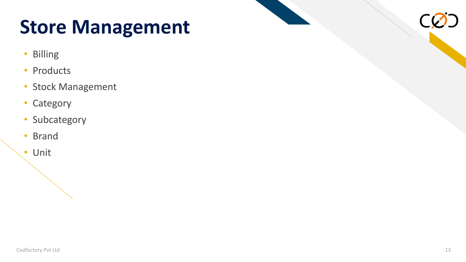## **Store Management**

- Billing
- Products
- Stock Management
- Category
- Subcategory
- Brand
- Unit

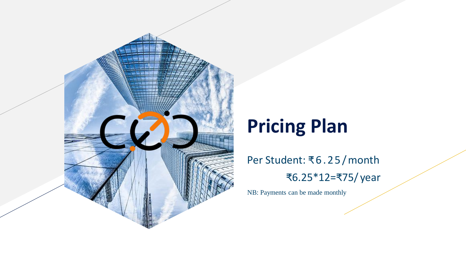

# **Pricing Plan**

Per Student: ₹6 . 2 5 /month ₹6.25\*12=₹75/ year

NB: Payments can be made monthly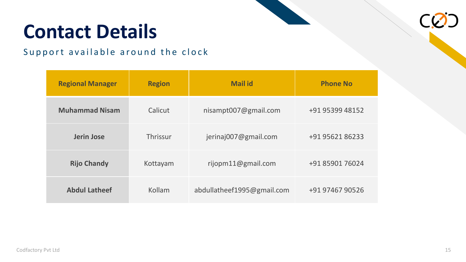# **Contact Details**

### Support available around the clock

| <b>Regional Manager</b> | <b>Region</b> | <b>Mail id</b>             | <b>Phone No</b> |
|-------------------------|---------------|----------------------------|-----------------|
| <b>Muhammad Nisam</b>   | Calicut       | nisampt007@gmail.com       | +91 95399 48152 |
| <b>Jerin Jose</b>       | Thrissur      | jerinaj007@gmail.com       | +91 95621 86233 |
| <b>Rijo Chandy</b>      | Kottayam      | rijopm11@gmail.com         | +91 85901 76024 |
| <b>Abdul Latheef</b>    | Kollam        | abdullatheef1995@gmail.com | +91 97467 90526 |